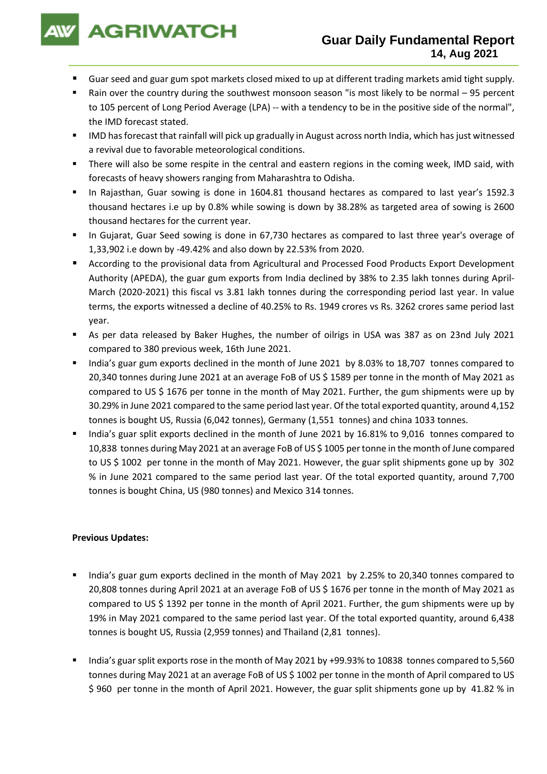

- Guar seed and guar gum spot markets closed mixed to up at different trading markets amid tight supply.
- Rain over the country during the southwest monsoon season "is most likely to be normal 95 percent to 105 percent of Long Period Average (LPA) -- with a tendency to be in the positive side of the normal", the IMD forecast stated.
- IMD has forecast that rainfall will pick up gradually in August across north India, which has just witnessed a revival due to favorable meteorological conditions.
- There will also be some respite in the central and eastern regions in the coming week, IMD said, with forecasts of heavy showers ranging from Maharashtra to Odisha.
- In Rajasthan, Guar sowing is done in 1604.81 thousand hectares as compared to last year's 1592.3 thousand hectares i.e up by 0.8% while sowing is down by 38.28% as targeted area of sowing is 2600 thousand hectares for the current year.
- In Gujarat, Guar Seed sowing is done in 67,730 hectares as compared to last three year's overage of 1,33,902 i.e down by -49.42% and also down by 22.53% from 2020.
- According to the provisional data from Agricultural and Processed Food Products Export Development Authority (APEDA), the guar gum exports from India declined by 38% to 2.35 lakh tonnes during April-March (2020-2021) this fiscal vs 3.81 lakh tonnes during the corresponding period last year. In value terms, the exports witnessed a decline of 40.25% to Rs. 1949 crores vs Rs. 3262 crores same period last year.
- As per data released by Baker Hughes, the number of oilrigs in USA was 387 as on 23nd July 2021 compared to 380 previous week, 16th June 2021.
- India's guar gum exports declined in the month of June 2021 by 8.03% to 18,707 tonnes compared to 20,340 tonnes during June 2021 at an average FoB of US \$ 1589 per tonne in the month of May 2021 as compared to US \$ 1676 per tonne in the month of May 2021. Further, the gum shipments were up by 30.29% in June 2021 compared to the same period last year. Of the total exported quantity, around 4,152 tonnes is bought US, Russia (6,042 tonnes), Germany (1,551 tonnes) and china 1033 tonnes.
- India's guar split exports declined in the month of June 2021 by 16.81% to 9,016 tonnes compared to 10,838 tonnes during May 2021 at an average FoB of US \$ 1005 per tonne in the month of June compared to US \$ 1002 per tonne in the month of May 2021. However, the guar split shipments gone up by 302 % in June 2021 compared to the same period last year. Of the total exported quantity, around 7,700 tonnes is bought China, US (980 tonnes) and Mexico 314 tonnes.

### **Previous Updates:**

- India's guar gum exports declined in the month of May 2021 by 2.25% to 20,340 tonnes compared to 20,808 tonnes during April 2021 at an average FoB of US \$ 1676 per tonne in the month of May 2021 as compared to US \$ 1392 per tonne in the month of April 2021. Further, the gum shipments were up by 19% in May 2021 compared to the same period last year. Of the total exported quantity, around 6,438 tonnes is bought US, Russia (2,959 tonnes) and Thailand (2,81 tonnes).
- India's guar split exports rose in the month of May 2021 by +99.93% to 10838 tonnes compared to 5,560 tonnes during May 2021 at an average FoB of US \$ 1002 per tonne in the month of April compared to US \$ 960 per tonne in the month of April 2021. However, the guar split shipments gone up by 41.82 % in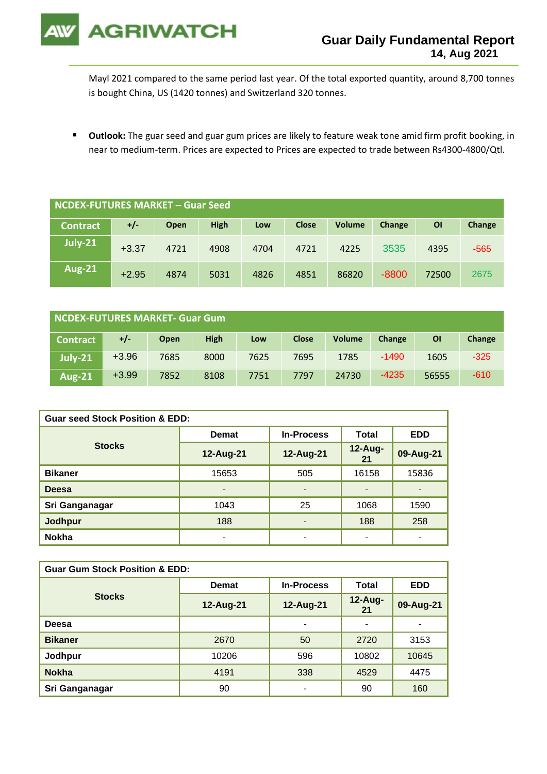

Mayl 2021 compared to the same period last year. Of the total exported quantity, around 8,700 tonnes is bought China, US (1420 tonnes) and Switzerland 320 tonnes.

▪ **Outlook:** The guar seed and guar gum prices are likely to feature weak tone amid firm profit booking, in near to medium-term. Prices are expected to Prices are expected to trade between Rs4300-4800/Qtl.

| NCDEX-FUTURES MARKET - Guar Seed |         |      |             |      |              |               |         |       |        |
|----------------------------------|---------|------|-------------|------|--------------|---------------|---------|-------|--------|
| <b>Contract</b>                  | +/-     | Open | <b>High</b> | Low  | <b>Close</b> | <b>Volume</b> | Change  | OI    | Change |
| July-21                          | $+3.37$ | 4721 | 4908        | 4704 | 4721         | 4225          | 3535    | 4395  | $-565$ |
| <b>Aug-21</b>                    | $+2.95$ | 4874 | 5031        | 4826 | 4851         | 86820         | $-8800$ | 72500 | 2675   |

| NCDEX-FUTURES MARKET- Guar Gum |         |      |             |      |              |               |         |           |        |
|--------------------------------|---------|------|-------------|------|--------------|---------------|---------|-----------|--------|
| <b>Contract</b>                | +/-     | Open | <b>High</b> | Low  | <b>Close</b> | <b>Volume</b> | Change  | <b>OI</b> | Change |
| <b>July-21</b>                 | $+3.96$ | 7685 | 8000        | 7625 | 7695         | 1785          | $-1490$ | 1605      | $-325$ |
| <b>Aug-21</b>                  | $+3.99$ | 7852 | 8108        | 7751 | 7797         | 24730         | $-4235$ | 56555     | $-610$ |

| <b>Guar seed Stock Position &amp; EDD:</b> |              |                          |               |                          |  |  |  |
|--------------------------------------------|--------------|--------------------------|---------------|--------------------------|--|--|--|
|                                            | <b>Demat</b> | <b>In-Process</b>        | Total         | <b>EDD</b>               |  |  |  |
| <b>Stocks</b>                              | 12-Aug-21    | 12-Aug-21                | 12-Aug-<br>21 | 09-Aug-21                |  |  |  |
| <b>Bikaner</b>                             | 15653        | 505                      | 16158         | 15836                    |  |  |  |
| <b>Deesa</b>                               | -            | $\overline{\phantom{a}}$ |               | $\overline{\phantom{0}}$ |  |  |  |
| Sri Ganganagar                             | 1043         | 25                       | 1068          | 1590                     |  |  |  |
| <b>Jodhpur</b>                             | 188          | $\blacksquare$           | 188           | 258                      |  |  |  |
| <b>Nokha</b>                               | ۰            | ٠                        | -             | $\overline{\phantom{0}}$ |  |  |  |

| <b>Guar Gum Stock Position &amp; EDD:</b> |              |                   |                  |                          |  |  |  |
|-------------------------------------------|--------------|-------------------|------------------|--------------------------|--|--|--|
|                                           | <b>Demat</b> | <b>In-Process</b> | Total            | <b>EDD</b>               |  |  |  |
| <b>Stocks</b>                             | 12-Aug-21    | 12-Aug-21         | $12$ -Aug-<br>21 | 09-Aug-21                |  |  |  |
| Deesa                                     |              | ٠                 | -                | $\overline{\phantom{0}}$ |  |  |  |
| <b>Bikaner</b>                            | 2670         | 50                | 2720             | 3153                     |  |  |  |
| Jodhpur                                   | 10206        | 596               | 10802            | 10645                    |  |  |  |
| <b>Nokha</b>                              | 4191         | 338               | 4529             | 4475                     |  |  |  |
| Sri Ganganagar                            | 90           | ٠                 | 90               | 160                      |  |  |  |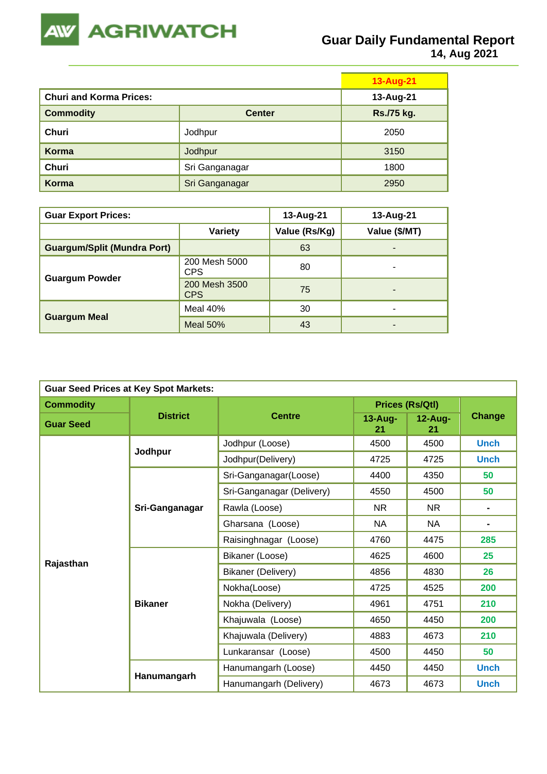

|                                |                | 13-Aug-21  |
|--------------------------------|----------------|------------|
| <b>Churi and Korma Prices:</b> | 13-Aug-21      |            |
| <b>Commodity</b>               | <b>Center</b>  | Rs./75 kg. |
| Churi                          | Jodhpur        | 2050       |
| Korma                          | Jodhpur        | 3150       |
| Churi                          | Sri Ganganagar | 1800       |
| Korma                          | Sri Ganganagar | 2950       |

| <b>Guar Export Prices:</b>         | 13-Aug-21                   | 13-Aug-21     |               |
|------------------------------------|-----------------------------|---------------|---------------|
|                                    | <b>Variety</b>              | Value (Rs/Kg) | Value (\$/MT) |
| <b>Guargum/Split (Mundra Port)</b> |                             | 63            | ۰             |
|                                    | 200 Mesh 5000<br>CPS        | 80            | -             |
| <b>Guargum Powder</b>              | 200 Mesh 3500<br><b>CPS</b> | 75            | -             |
|                                    | Meal 40%                    | 30            | -             |
| <b>Guargum Meal</b>                | Meal $50\%$                 | 43            |               |

| <b>Guar Seed Prices at Key Spot Markets:</b> |                 |                           |                        |                  |                |  |  |
|----------------------------------------------|-----------------|---------------------------|------------------------|------------------|----------------|--|--|
| <b>Commodity</b>                             |                 |                           | <b>Prices (Rs/Qtl)</b> |                  |                |  |  |
| <b>Guar Seed</b>                             | <b>District</b> | <b>Centre</b>             | $13 - Aug-$<br>21      | $12$ -Aug-<br>21 | Change         |  |  |
|                                              | Jodhpur         | Jodhpur (Loose)           | 4500                   | 4500             | <b>Unch</b>    |  |  |
|                                              |                 | Jodhpur(Delivery)         | 4725                   | 4725             | <b>Unch</b>    |  |  |
|                                              |                 | Sri-Ganganagar(Loose)     | 4400                   | 4350             | 50             |  |  |
|                                              |                 | Sri-Ganganagar (Delivery) | 4550                   | 4500             | 50             |  |  |
|                                              | Sri-Ganganagar  | Rawla (Loose)             | NR.                    | NR.              | $\blacksquare$ |  |  |
|                                              |                 | Gharsana (Loose)          | NA                     | <b>NA</b>        |                |  |  |
|                                              |                 | Raisinghnagar (Loose)     | 4760                   | 4475             | 285            |  |  |
|                                              |                 | Bikaner (Loose)           | 4625                   | 4600             | 25             |  |  |
| Rajasthan                                    |                 | Bikaner (Delivery)        | 4856                   | 4830             | 26             |  |  |
|                                              |                 | Nokha(Loose)              | 4725                   | 4525             | 200            |  |  |
|                                              | <b>Bikaner</b>  | Nokha (Delivery)          | 4961                   | 4751             | 210            |  |  |
|                                              |                 | Khajuwala (Loose)         | 4650                   | 4450             | 200            |  |  |
|                                              |                 | Khajuwala (Delivery)      | 4883                   | 4673             | 210            |  |  |
|                                              |                 | Lunkaransar (Loose)       | 4500                   | 4450             | 50             |  |  |
|                                              |                 | Hanumangarh (Loose)       | 4450                   | 4450             | <b>Unch</b>    |  |  |
|                                              | Hanumangarh     | Hanumangarh (Delivery)    | 4673                   | 4673             | <b>Unch</b>    |  |  |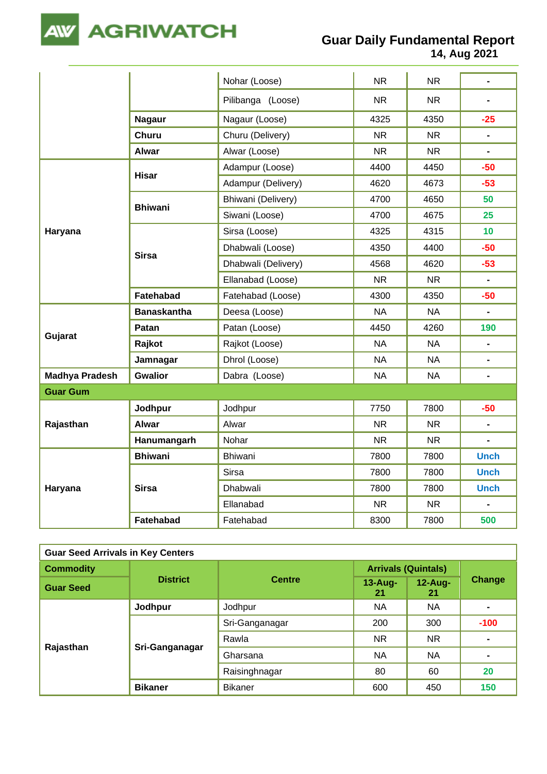

## **Guar Daily Fundamental Report**

**14, Aug 2021**

|                       |                    | Nohar (Loose)       | <b>NR</b> | <b>NR</b> | $\blacksquare$               |
|-----------------------|--------------------|---------------------|-----------|-----------|------------------------------|
|                       |                    | Pilibanga (Loose)   | <b>NR</b> | <b>NR</b> |                              |
|                       | <b>Nagaur</b>      | Nagaur (Loose)      | 4325      | 4350      | $-25$                        |
|                       | <b>Churu</b>       | Churu (Delivery)    | <b>NR</b> | <b>NR</b> | L.                           |
|                       | <b>Alwar</b>       | Alwar (Loose)       | <b>NR</b> | <b>NR</b> | $\blacksquare$               |
|                       | <b>Hisar</b>       | Adampur (Loose)     | 4400      | 4450      | $-50$                        |
|                       |                    | Adampur (Delivery)  | 4620      | 4673      | $-53$                        |
|                       | <b>Bhiwani</b>     | Bhiwani (Delivery)  | 4700      | 4650      | 50                           |
|                       |                    | Siwani (Loose)      | 4700      | 4675      | 25                           |
| Haryana               |                    | Sirsa (Loose)       | 4325      | 4315      | 10 <sup>°</sup>              |
|                       |                    | Dhabwali (Loose)    | 4350      | 4400      | $-50$                        |
|                       | <b>Sirsa</b>       | Dhabwali (Delivery) | 4568      | 4620      | $-53$                        |
|                       |                    | Ellanabad (Loose)   | <b>NR</b> | <b>NR</b> | $\blacksquare$               |
|                       | Fatehabad          | Fatehabad (Loose)   | 4300      | 4350      | $-50$                        |
|                       | <b>Banaskantha</b> | Deesa (Loose)       | <b>NA</b> | <b>NA</b> | $\blacksquare$               |
|                       | Patan              | Patan (Loose)       | 4450      | 4260      | 190                          |
| Gujarat               | Rajkot             | Rajkot (Loose)      | <b>NA</b> | <b>NA</b> | ÷,                           |
|                       | Jamnagar           | Dhrol (Loose)       | <b>NA</b> | <b>NA</b> | $\blacksquare$               |
| <b>Madhya Pradesh</b> | <b>Gwalior</b>     | Dabra (Loose)       | <b>NA</b> | <b>NA</b> | $\qquad \qquad \blacksquare$ |
| <b>Guar Gum</b>       |                    |                     |           |           |                              |
|                       | Jodhpur            | Jodhpur             | 7750      | 7800      | $-50$                        |
| Rajasthan             | <b>Alwar</b>       | Alwar               | <b>NR</b> | <b>NR</b> | $\blacksquare$               |
|                       | Hanumangarh        | Nohar               | <b>NR</b> | <b>NR</b> | $\blacksquare$               |
|                       | <b>Bhiwani</b>     | Bhiwani             | 7800      | 7800      | <b>Unch</b>                  |
|                       |                    | <b>Sirsa</b>        | 7800      | 7800      | <b>Unch</b>                  |
| Haryana               | <b>Sirsa</b>       | Dhabwali            | 7800      | 7800      | <b>Unch</b>                  |
|                       |                    | Ellanabad           | <b>NR</b> | <b>NR</b> | $\overline{a}$               |
|                       | Fatehabad          | Fatehabad           | 8300      | 7800      | 500                          |

| <b>Guar Seed Arrivals in Key Centers</b> |                 |                |                            |                  |                |  |
|------------------------------------------|-----------------|----------------|----------------------------|------------------|----------------|--|
| <b>Commodity</b>                         | <b>District</b> | <b>Centre</b>  | <b>Arrivals (Quintals)</b> |                  |                |  |
| <b>Guar Seed</b>                         |                 |                | $13$ -Aug-<br>21           | $12$ -Aug-<br>21 | Change         |  |
|                                          | Jodhpur         | Jodhpur        | NA.                        | <b>NA</b>        | ۰              |  |
|                                          | Sri-Ganganagar  | Sri-Ganganagar | 200                        | 300              | $-100$         |  |
|                                          |                 | Rawla          | NR.                        | <b>NR</b>        | $\blacksquare$ |  |
| Rajasthan                                |                 | Gharsana       | NA                         | <b>NA</b>        | $\blacksquare$ |  |
|                                          |                 | Raisinghnagar  | 80                         | 60               | 20             |  |
|                                          | <b>Bikaner</b>  | <b>Bikaner</b> | 600                        | 450              | 150            |  |